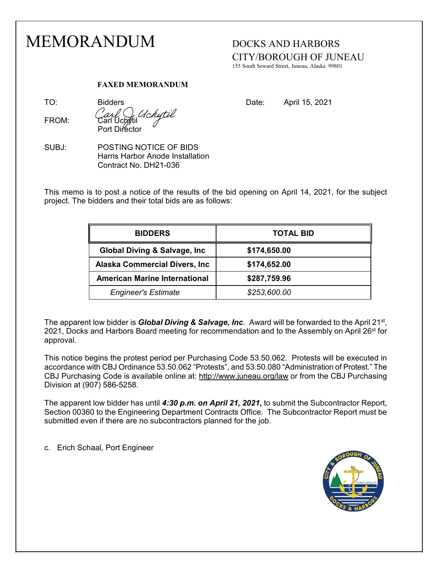## MEMORANDUM DOCKS AND HARBORS CITY/BOROUGH OF JUNEAU 155 South Seward Street, Juneau, Alaska 99801 **FAXED MEMORANDUM** TO: Bidders Bidders Bidders Bullet Bate: April 15, 2021 FROM: Carl Uchytil Port Director SUBJ: POSTING NOTICE OF BIDS Harris Harbor Anode Installation Contract No. DH21-036 This memo is to post a notice of the results of the bid opening on April 14, 2021, for the subject project. The bidders and their total bids are as follows: **BIDDERS TOTAL BID Global Diving & Salvage, Inc \$174,650.00 Alaska Commercial Divers, Inc \$174,652.00 American Marine International \$287,759.96**

The apparent low bidder is *Global Diving & Salvage, Inc*. Award will be forwarded to the April 21st, 2021, Docks and Harbors Board meeting for recommendation and to the Assembly on April 26<sup>st</sup> for approval.

 *Engineer's Estimate \$253,600.00*

This notice begins the protest period per Purchasing Code 53.50.062. Protests will be executed in accordance with CBJ Ordinance 53.50.062 "Protests", and 53.50.080 "Administration of Protest." The CBJ Purchasing Code is available online at:<http://www.juneau.org/law> or from the CBJ Purchasing Division at (907) 586-5258.

The apparent low bidder has until *4:30 p.m. on April 21, 2021,* to submit the Subcontractor Report, Section 00360 to the Engineering Department Contracts Office. The Subcontractor Report must be submitted even if there are no subcontractors planned for the job.

c. Erich Schaal, Port Engineer

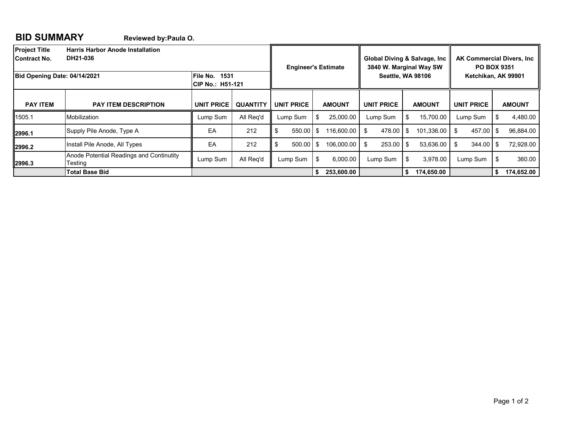## **BID SUMMARY Reviewed by:Paula O.**

| <b>Project Title</b><br><b>Harris Harbor Anode Installation</b><br>DH21-036<br>Contract No.<br>File No.<br>Bid Opening Date: 04/14/2021<br>1531<br><b>CIP No.: H51-121</b> |                                                     |                   | <b>Engineer's Estimate</b> |                   | Global Diving & Salvage, Inc.<br>3840 W. Marginal Way SW<br><b>Seattle, WA 98106</b> |               | <b>AK Commercial Divers, Inc.</b><br><b>PO BOX 9351</b><br>Ketchikan, AK 99901 |     |               |                     |               |            |
|----------------------------------------------------------------------------------------------------------------------------------------------------------------------------|-----------------------------------------------------|-------------------|----------------------------|-------------------|--------------------------------------------------------------------------------------|---------------|--------------------------------------------------------------------------------|-----|---------------|---------------------|---------------|------------|
| <b>PAY ITEM</b>                                                                                                                                                            | <b>PAY ITEM DESCRIPTION</b>                         | <b>UNIT PRICE</b> | <b>QUANTITY</b>            | <b>UNIT PRICE</b> |                                                                                      | <b>AMOUNT</b> | <b>UNIT PRICE</b>                                                              |     | <b>AMOUNT</b> | <b>UNIT PRICE</b>   | <b>AMOUNT</b> |            |
| 1505.1                                                                                                                                                                     | Mobilization                                        | Lump Sum          | All Req'd                  | Lump Sum          | S.                                                                                   | 25,000.00     | Lump Sum                                                                       | S.  | 15.700.00     | Lump Sum            |               | 4,480.00   |
| 2996.1                                                                                                                                                                     | Supply Pile Anode, Type A                           | EA                | 212                        | $550.00$ \$       |                                                                                      | 116,600.00    | 478.00<br>\$                                                                   | -S  | 101,336.00    | 457.00 \$<br>-S     |               | 96,884.00  |
| 2996.2                                                                                                                                                                     | Install Pile Anode, All Types                       | EA                | 212                        | $500.00$ S        |                                                                                      | 106.000.00    | 253.00                                                                         | \$. | 53.636.00     | $344.00$ \$<br>- \$ |               | 72,928.00  |
| 2996.3                                                                                                                                                                     | Anode Potential Readings and Continutity<br>Testing | Lump Sum          | All Reg'd                  | Lump Sum          | \$                                                                                   | 6.000.00      | Lump Sum                                                                       | \$  | 3.978.00      | Lump Sum            | -\$           | 360.00     |
|                                                                                                                                                                            | <b>Total Base Bid</b>                               |                   |                            |                   | S.                                                                                   | 253,600.00    |                                                                                | S.  | 174.650.00    |                     | -S            | 174,652.00 |